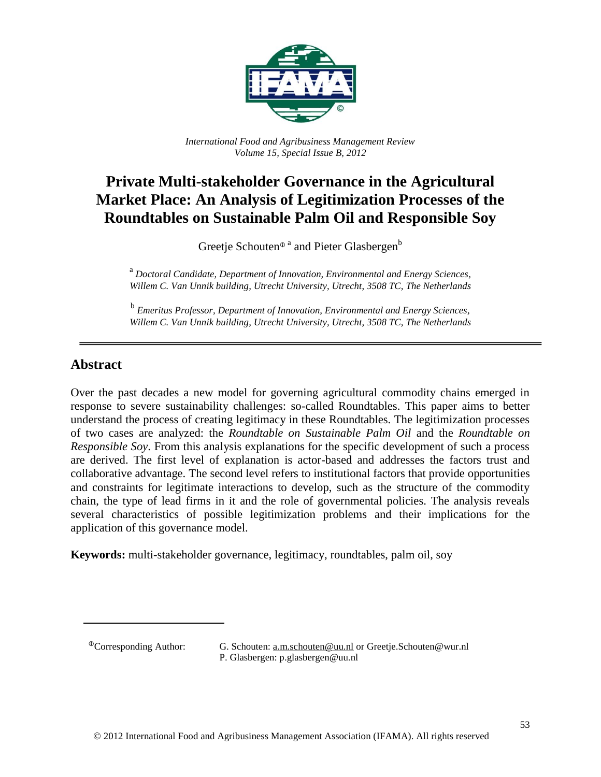

*International Food and Agribusiness Management Review Volume 15, Special Issue B, 2012*

# **Private Multi-stakeholder Governance in the Agricultural Market Place: An Analysis of Legitimization Processes of the Roundtables on Sustainable Palm Oil and Responsible Soy**

Greetje Schouten®<sup>a</sup> and Pieter Glasbergen<sup>b</sup>

<sup>a</sup> Doctoral Candidate, Department of Innovation, Environmental and Energy Sciences, *Willem C. Van Unnik building, Utrecht University, Utrecht*, *3508 TC, The Netherlands*

b *Emeritus Professor, Department of Innovation, Environmental and Energy Sciences, Willem C. Van Unnik building, Utrecht University, Utrecht, 3508 TC, The Netherlands*

#### **Abstract**

Over the past decades a new model for governing agricultural commodity chains emerged in response to severe sustainability challenges: so-called Roundtables. This paper aims to better understand the process of creating legitimacy in these Roundtables. The legitimization processes of two cases are analyzed: the *Roundtable on Sustainable Palm Oil* and the *Roundtable on Responsible Soy*. From this analysis explanations for the specific development of such a process are derived. The first level of explanation is actor-based and addresses the factors trust and collaborative advantage. The second level refers to institutional factors that provide opportunities and constraints for legitimate interactions to develop, such as the structure of the commodity chain, the type of lead firms in it and the role of governmental policies. The analysis reveals several characteristics of possible legitimization problems and their implications for the application of this governance model.

**Keywords:** multi-stakeholder governance, legitimacy, roundtables, palm oil, soy

<sup>&</sup>lt;sup>®</sup>Corresponding Author: G. Schouten: <u>a.m.schouten@uu.nl</u> or Greetje.Schouten@wur.nl P. Glasbergen: p.glasbergen@uu.nl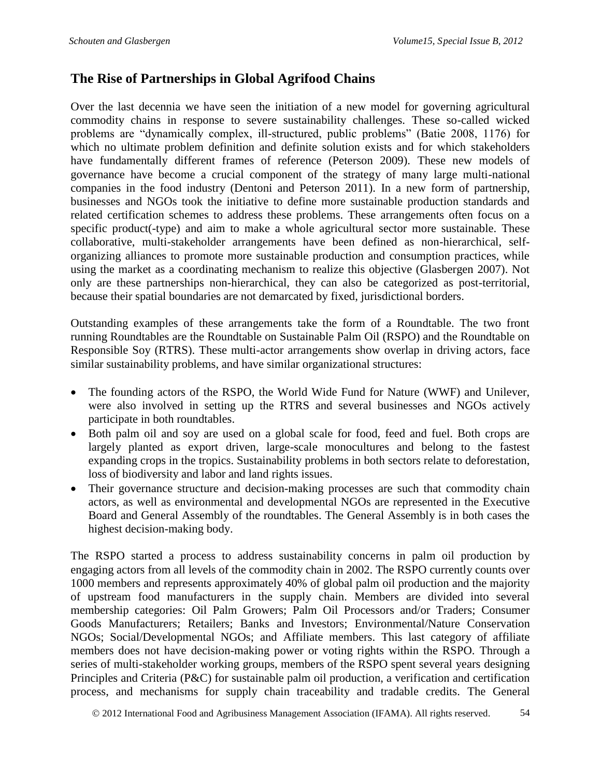## **The Rise of Partnerships in Global Agrifood Chains**

Over the last decennia we have seen the initiation of a new model for governing agricultural commodity chains in response to severe sustainability challenges. These so-called wicked problems are "dynamically complex, ill-structured, public problems" (Batie 2008, 1176) for which no ultimate problem definition and definite solution exists and for which stakeholders have fundamentally different frames of reference (Peterson 2009). These new models of governance have become a crucial component of the strategy of many large multi-national companies in the food industry (Dentoni and Peterson 2011). In a new form of partnership, businesses and NGOs took the initiative to define more sustainable production standards and related certification schemes to address these problems. These arrangements often focus on a specific product(-type) and aim to make a whole agricultural sector more sustainable. These collaborative, multi-stakeholder arrangements have been defined as non-hierarchical, selforganizing alliances to promote more sustainable production and consumption practices, while using the market as a coordinating mechanism to realize this objective (Glasbergen 2007). Not only are these partnerships non-hierarchical, they can also be categorized as post-territorial, because their spatial boundaries are not demarcated by fixed, jurisdictional borders.

Outstanding examples of these arrangements take the form of a Roundtable. The two front running Roundtables are the Roundtable on Sustainable Palm Oil (RSPO) and the Roundtable on Responsible Soy (RTRS). These multi-actor arrangements show overlap in driving actors, face similar sustainability problems, and have similar organizational structures:

- The founding actors of the RSPO, the World Wide Fund for Nature (WWF) and Unilever, were also involved in setting up the RTRS and several businesses and NGOs actively participate in both roundtables.
- Both palm oil and soy are used on a global scale for food, feed and fuel. Both crops are largely planted as export driven, large-scale monocultures and belong to the fastest expanding crops in the tropics. Sustainability problems in both sectors relate to deforestation, loss of biodiversity and labor and land rights issues.
- Their governance structure and decision-making processes are such that commodity chain actors, as well as environmental and developmental NGOs are represented in the Executive Board and General Assembly of the roundtables. The General Assembly is in both cases the highest decision-making body.

The RSPO started a process to address sustainability concerns in palm oil production by engaging actors from all levels of the commodity chain in 2002. The RSPO currently counts over 1000 members and represents approximately 40% of global palm oil production and the majority of upstream food manufacturers in the supply chain. Members are divided into several membership categories: Oil Palm Growers; Palm Oil Processors and/or Traders; Consumer Goods Manufacturers; Retailers; Banks and Investors; Environmental/Nature Conservation NGOs; Social/Developmental NGOs; and Affiliate members. This last category of affiliate members does not have decision-making power or voting rights within the RSPO. Through a series of multi-stakeholder working groups, members of the RSPO spent several years designing Principles and Criteria (P&C) for sustainable palm oil production, a verification and certification process, and mechanisms for supply chain traceability and tradable credits. The General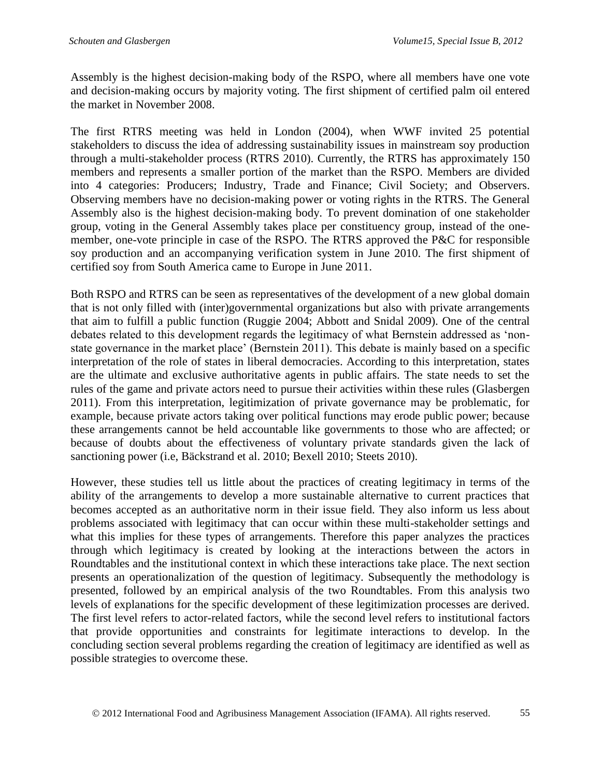Assembly is the highest decision-making body of the RSPO, where all members have one vote and decision-making occurs by majority voting. The first shipment of certified palm oil entered the market in November 2008.

The first RTRS meeting was held in London (2004), when WWF invited 25 potential stakeholders to discuss the idea of addressing sustainability issues in mainstream soy production through a multi-stakeholder process (RTRS 2010). Currently, the RTRS has approximately 150 members and represents a smaller portion of the market than the RSPO. Members are divided into 4 categories: Producers; Industry, Trade and Finance; Civil Society; and Observers. Observing members have no decision-making power or voting rights in the RTRS. The General Assembly also is the highest decision-making body. To prevent domination of one stakeholder group, voting in the General Assembly takes place per constituency group, instead of the onemember, one-vote principle in case of the RSPO. The RTRS approved the P&C for responsible soy production and an accompanying verification system in June 2010. The first shipment of certified soy from South America came to Europe in June 2011.

Both RSPO and RTRS can be seen as representatives of the development of a new global domain that is not only filled with (inter)governmental organizations but also with private arrangements that aim to fulfill a public function (Ruggie 2004; Abbott and Snidal 2009). One of the central debates related to this development regards the legitimacy of what Bernstein addressed as 'nonstate governance in the market place' (Bernstein 2011). This debate is mainly based on a specific interpretation of the role of states in liberal democracies. According to this interpretation, states are the ultimate and exclusive authoritative agents in public affairs. The state needs to set the rules of the game and private actors need to pursue their activities within these rules (Glasbergen 2011). From this interpretation, legitimization of private governance may be problematic, for example, because private actors taking over political functions may erode public power; because these arrangements cannot be held accountable like governments to those who are affected; or because of doubts about the effectiveness of voluntary private standards given the lack of sanctioning power (i.e, Bäckstrand et al. 2010; Bexell 2010; Steets 2010).

However, these studies tell us little about the practices of creating legitimacy in terms of the ability of the arrangements to develop a more sustainable alternative to current practices that becomes accepted as an authoritative norm in their issue field. They also inform us less about problems associated with legitimacy that can occur within these multi-stakeholder settings and what this implies for these types of arrangements. Therefore this paper analyzes the practices through which legitimacy is created by looking at the interactions between the actors in Roundtables and the institutional context in which these interactions take place. The next section presents an operationalization of the question of legitimacy. Subsequently the methodology is presented, followed by an empirical analysis of the two Roundtables. From this analysis two levels of explanations for the specific development of these legitimization processes are derived. The first level refers to actor-related factors, while the second level refers to institutional factors that provide opportunities and constraints for legitimate interactions to develop. In the concluding section several problems regarding the creation of legitimacy are identified as well as possible strategies to overcome these.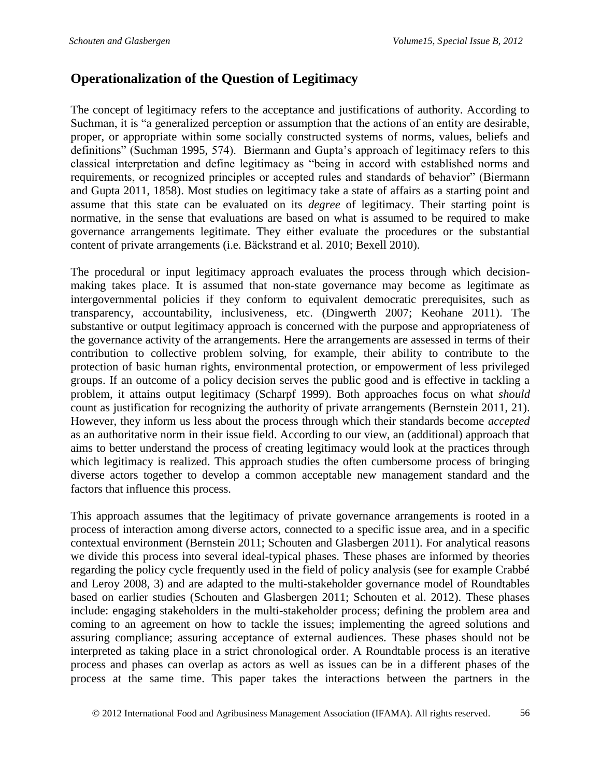## **Operationalization of the Question of Legitimacy**

The concept of legitimacy refers to the acceptance and justifications of authority. According to Suchman, it is "a generalized perception or assumption that the actions of an entity are desirable, proper, or appropriate within some socially constructed systems of norms, values, beliefs and definitions" (Suchman 1995, 574). Biermann and Gupta's approach of legitimacy refers to this classical interpretation and define legitimacy as "being in accord with established norms and requirements, or recognized principles or accepted rules and standards of behavior" (Biermann and Gupta 2011, 1858). Most studies on legitimacy take a state of affairs as a starting point and assume that this state can be evaluated on its *degree* of legitimacy. Their starting point is normative, in the sense that evaluations are based on what is assumed to be required to make governance arrangements legitimate. They either evaluate the procedures or the substantial content of private arrangements (i.e. Bäckstrand et al. 2010; Bexell 2010).

The procedural or input legitimacy approach evaluates the process through which decisionmaking takes place. It is assumed that non-state governance may become as legitimate as intergovernmental policies if they conform to equivalent democratic prerequisites, such as transparency, accountability, inclusiveness, etc. (Dingwerth 2007; Keohane 2011). The substantive or output legitimacy approach is concerned with the purpose and appropriateness of the governance activity of the arrangements. Here the arrangements are assessed in terms of their contribution to collective problem solving, for example, their ability to contribute to the protection of basic human rights, environmental protection, or empowerment of less privileged groups. If an outcome of a policy decision serves the public good and is effective in tackling a problem, it attains output legitimacy (Scharpf 1999). Both approaches focus on what *should* count as justification for recognizing the authority of private arrangements (Bernstein 2011, 21). However, they inform us less about the process through which their standards become *accepted* as an authoritative norm in their issue field. According to our view, an (additional) approach that aims to better understand the process of creating legitimacy would look at the practices through which legitimacy is realized. This approach studies the often cumbersome process of bringing diverse actors together to develop a common acceptable new management standard and the factors that influence this process.

This approach assumes that the legitimacy of private governance arrangements is rooted in a process of interaction among diverse actors, connected to a specific issue area, and in a specific contextual environment (Bernstein 2011; Schouten and Glasbergen 2011). For analytical reasons we divide this process into several ideal-typical phases. These phases are informed by theories regarding the policy cycle frequently used in the field of policy analysis (see for example Crabbé and Leroy 2008, 3) and are adapted to the multi-stakeholder governance model of Roundtables based on earlier studies (Schouten and Glasbergen 2011; Schouten et al. 2012). These phases include: engaging stakeholders in the multi-stakeholder process; defining the problem area and coming to an agreement on how to tackle the issues; implementing the agreed solutions and assuring compliance; assuring acceptance of external audiences. These phases should not be interpreted as taking place in a strict chronological order. A Roundtable process is an iterative process and phases can overlap as actors as well as issues can be in a different phases of the process at the same time. This paper takes the interactions between the partners in the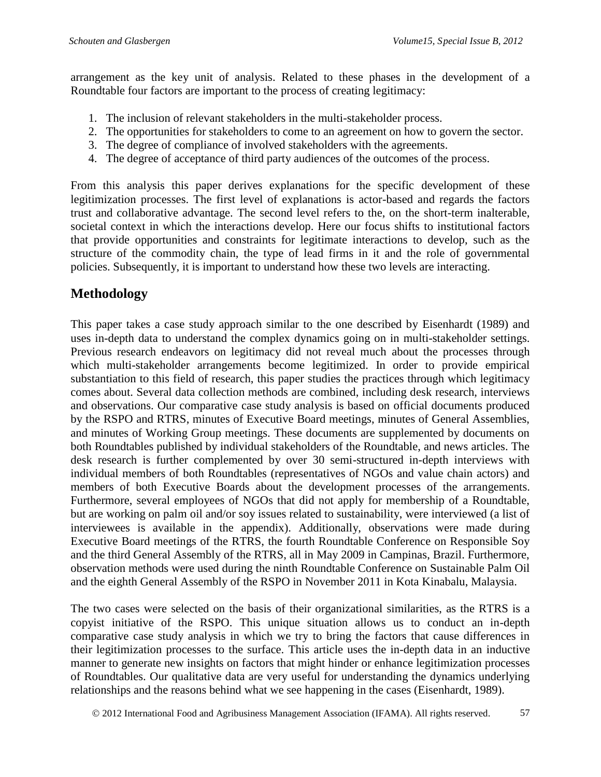arrangement as the key unit of analysis. Related to these phases in the development of a Roundtable four factors are important to the process of creating legitimacy:

- 1. The inclusion of relevant stakeholders in the multi-stakeholder process.
- 2. The opportunities for stakeholders to come to an agreement on how to govern the sector.
- 3. The degree of compliance of involved stakeholders with the agreements.
- 4. The degree of acceptance of third party audiences of the outcomes of the process.

From this analysis this paper derives explanations for the specific development of these legitimization processes. The first level of explanations is actor-based and regards the factors trust and collaborative advantage. The second level refers to the, on the short-term inalterable, societal context in which the interactions develop. Here our focus shifts to institutional factors that provide opportunities and constraints for legitimate interactions to develop, such as the structure of the commodity chain, the type of lead firms in it and the role of governmental policies. Subsequently, it is important to understand how these two levels are interacting.

# **Methodology**

This paper takes a case study approach similar to the one described by Eisenhardt (1989) and uses in-depth data to understand the complex dynamics going on in multi-stakeholder settings. Previous research endeavors on legitimacy did not reveal much about the processes through which multi-stakeholder arrangements become legitimized. In order to provide empirical substantiation to this field of research, this paper studies the practices through which legitimacy comes about. Several data collection methods are combined, including desk research, interviews and observations. Our comparative case study analysis is based on official documents produced by the RSPO and RTRS, minutes of Executive Board meetings, minutes of General Assemblies, and minutes of Working Group meetings. These documents are supplemented by documents on both Roundtables published by individual stakeholders of the Roundtable, and news articles. The desk research is further complemented by over 30 semi-structured in-depth interviews with individual members of both Roundtables (representatives of NGOs and value chain actors) and members of both Executive Boards about the development processes of the arrangements. Furthermore, several employees of NGOs that did not apply for membership of a Roundtable, but are working on palm oil and/or soy issues related to sustainability, were interviewed (a list of interviewees is available in the appendix). Additionally, observations were made during Executive Board meetings of the RTRS, the fourth Roundtable Conference on Responsible Soy and the third General Assembly of the RTRS, all in May 2009 in Campinas, Brazil. Furthermore, observation methods were used during the ninth Roundtable Conference on Sustainable Palm Oil and the eighth General Assembly of the RSPO in November 2011 in Kota Kinabalu, Malaysia.

The two cases were selected on the basis of their organizational similarities, as the RTRS is a copyist initiative of the RSPO. This unique situation allows us to conduct an in-depth comparative case study analysis in which we try to bring the factors that cause differences in their legitimization processes to the surface. This article uses the in-depth data in an inductive manner to generate new insights on factors that might hinder or enhance legitimization processes of Roundtables. Our qualitative data are very useful for understanding the dynamics underlying relationships and the reasons behind what we see happening in the cases (Eisenhardt, 1989).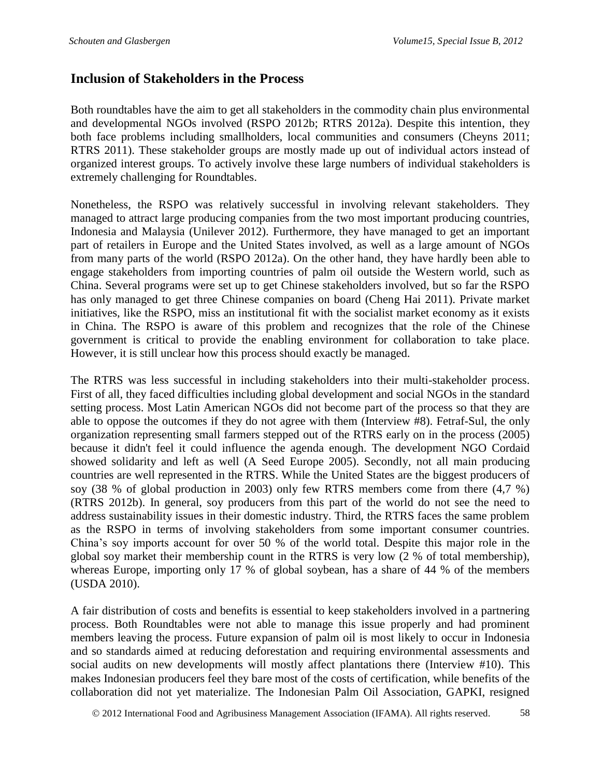#### **Inclusion of Stakeholders in the Process**

Both roundtables have the aim to get all stakeholders in the commodity chain plus environmental and developmental NGOs involved (RSPO 2012b; RTRS 2012a). Despite this intention, they both face problems including smallholders, local communities and consumers (Cheyns 2011; RTRS 2011). These stakeholder groups are mostly made up out of individual actors instead of organized interest groups. To actively involve these large numbers of individual stakeholders is extremely challenging for Roundtables.

Nonetheless, the RSPO was relatively successful in involving relevant stakeholders. They managed to attract large producing companies from the two most important producing countries, Indonesia and Malaysia (Unilever 2012). Furthermore, they have managed to get an important part of retailers in Europe and the United States involved, as well as a large amount of NGOs from many parts of the world (RSPO 2012a). On the other hand, they have hardly been able to engage stakeholders from importing countries of palm oil outside the Western world, such as China. Several programs were set up to get Chinese stakeholders involved, but so far the RSPO has only managed to get three Chinese companies on board (Cheng Hai 2011). Private market initiatives, like the RSPO, miss an institutional fit with the socialist market economy as it exists in China. The RSPO is aware of this problem and recognizes that the role of the Chinese government is critical to provide the enabling environment for collaboration to take place. However, it is still unclear how this process should exactly be managed.

The RTRS was less successful in including stakeholders into their multi-stakeholder process. First of all, they faced difficulties including global development and social NGOs in the standard setting process. Most Latin American NGOs did not become part of the process so that they are able to oppose the outcomes if they do not agree with them (Interview #8). Fetraf-Sul, the only organization representing small farmers stepped out of the RTRS early on in the process (2005) because it didn't feel it could influence the agenda enough. The development NGO Cordaid showed solidarity and left as well (A Seed Europe 2005). Secondly, not all main producing countries are well represented in the RTRS. While the United States are the biggest producers of soy (38 % of global production in 2003) only few RTRS members come from there (4,7 %) (RTRS 2012b). In general, soy producers from this part of the world do not see the need to address sustainability issues in their domestic industry. Third, the RTRS faces the same problem as the RSPO in terms of involving stakeholders from some important consumer countries. China's soy imports account for over 50 % of the world total. Despite this major role in the global soy market their membership count in the RTRS is very low (2 % of total membership), whereas Europe, importing only 17 % of global soybean, has a share of 44 % of the members (USDA 2010).

A fair distribution of costs and benefits is essential to keep stakeholders involved in a partnering process. Both Roundtables were not able to manage this issue properly and had prominent members leaving the process. Future expansion of palm oil is most likely to occur in Indonesia and so standards aimed at reducing deforestation and requiring environmental assessments and social audits on new developments will mostly affect plantations there (Interview #10). This makes Indonesian producers feel they bare most of the costs of certification, while benefits of the collaboration did not yet materialize. The Indonesian Palm Oil Association, GAPKI, resigned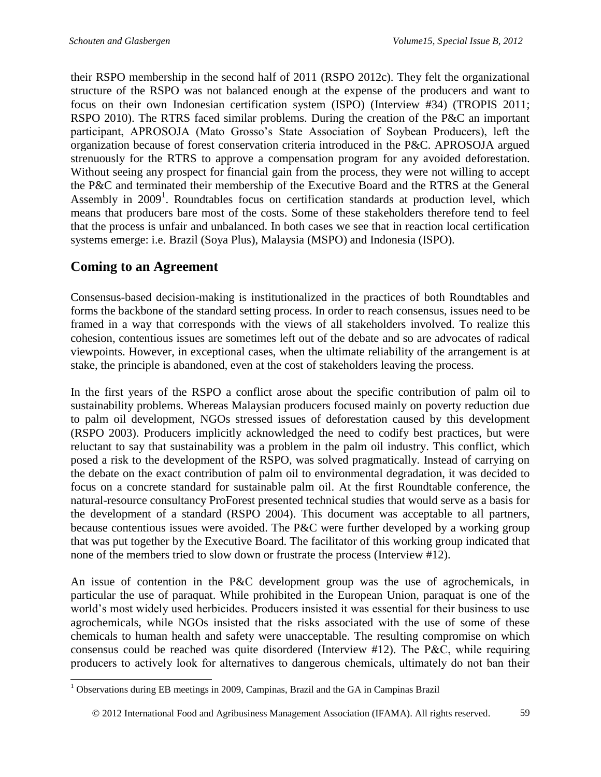their RSPO membership in the second half of 2011 (RSPO 2012c). They felt the organizational structure of the RSPO was not balanced enough at the expense of the producers and want to focus on their own Indonesian certification system (ISPO) (Interview #34) (TROPIS 2011; RSPO 2010). The RTRS faced similar problems. During the creation of the P&C an important participant, APROSOJA (Mato Grosso's State Association of Soybean Producers), left the organization because of forest conservation criteria introduced in the P&C. APROSOJA argued strenuously for the RTRS to approve a compensation program for any avoided deforestation. Without seeing any prospect for financial gain from the process, they were not willing to accept the P&C and terminated their membership of the Executive Board and the RTRS at the General Assembly in  $2009<sup>1</sup>$ . Roundtables focus on certification standards at production level, which means that producers bare most of the costs. Some of these stakeholders therefore tend to feel that the process is unfair and unbalanced. In both cases we see that in reaction local certification systems emerge: i.e. Brazil (Soya Plus), Malaysia (MSPO) and Indonesia (ISPO).

# **Coming to an Agreement**

Consensus-based decision-making is institutionalized in the practices of both Roundtables and forms the backbone of the standard setting process. In order to reach consensus, issues need to be framed in a way that corresponds with the views of all stakeholders involved. To realize this cohesion, contentious issues are sometimes left out of the debate and so are advocates of radical viewpoints. However, in exceptional cases, when the ultimate reliability of the arrangement is at stake, the principle is abandoned, even at the cost of stakeholders leaving the process.

In the first years of the RSPO a conflict arose about the specific contribution of palm oil to sustainability problems. Whereas Malaysian producers focused mainly on poverty reduction due to palm oil development, NGOs stressed issues of deforestation caused by this development (RSPO 2003). Producers implicitly acknowledged the need to codify best practices, but were reluctant to say that sustainability was a problem in the palm oil industry. This conflict, which posed a risk to the development of the RSPO, was solved pragmatically. Instead of carrying on the debate on the exact contribution of palm oil to environmental degradation, it was decided to focus on a concrete standard for sustainable palm oil. At the first Roundtable conference, the natural-resource consultancy ProForest presented technical studies that would serve as a basis for the development of a standard (RSPO 2004). This document was acceptable to all partners, because contentious issues were avoided. The P&C were further developed by a working group that was put together by the Executive Board. The facilitator of this working group indicated that none of the members tried to slow down or frustrate the process (Interview #12).

An issue of contention in the P&C development group was the use of agrochemicals, in particular the use of paraquat. While prohibited in the European Union, paraquat is one of the world's most widely used herbicides. Producers insisted it was essential for their business to use agrochemicals, while NGOs insisted that the risks associated with the use of some of these chemicals to human health and safety were unacceptable. The resulting compromise on which consensus could be reached was quite disordered (Interview #12). The P&C, while requiring producers to actively look for alternatives to dangerous chemicals, ultimately do not ban their

 $\overline{a}$  $1$  Observations during EB meetings in 2009, Campinas, Brazil and the GA in Campinas Brazil

2012 International Food and Agribusiness Management Association (IFAMA). All rights reserved. 59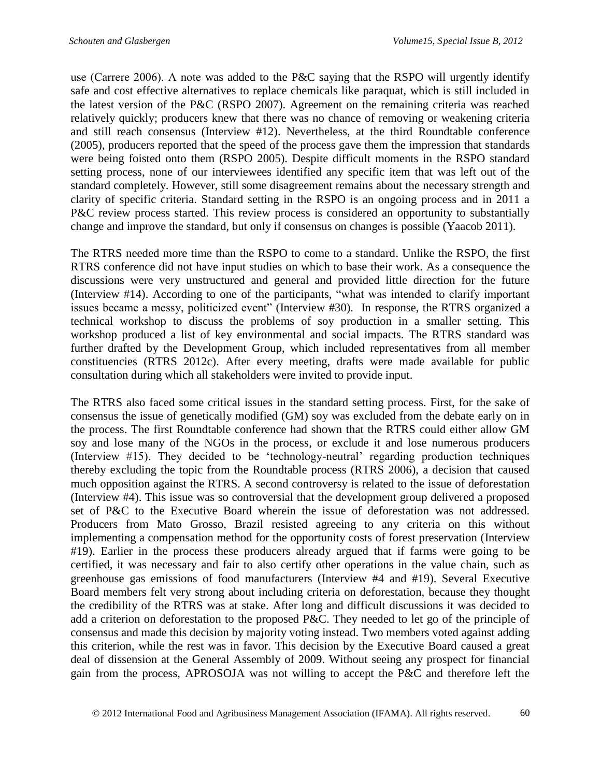use (Carrere 2006). A note was added to the P&C saying that the RSPO will urgently identify safe and cost effective alternatives to replace chemicals like paraquat, which is still included in the latest version of the P&C (RSPO 2007). Agreement on the remaining criteria was reached relatively quickly; producers knew that there was no chance of removing or weakening criteria and still reach consensus (Interview #12). Nevertheless, at the third Roundtable conference (2005), producers reported that the speed of the process gave them the impression that standards were being foisted onto them (RSPO 2005). Despite difficult moments in the RSPO standard setting process, none of our interviewees identified any specific item that was left out of the standard completely. However, still some disagreement remains about the necessary strength and clarity of specific criteria. Standard setting in the RSPO is an ongoing process and in 2011 a P&C review process started. This review process is considered an opportunity to substantially change and improve the standard, but only if consensus on changes is possible (Yaacob 2011).

The RTRS needed more time than the RSPO to come to a standard. Unlike the RSPO, the first RTRS conference did not have input studies on which to base their work. As a consequence the discussions were very unstructured and general and provided little direction for the future (Interview #14). According to one of the participants, "what was intended to clarify important issues became a messy, politicized event" (Interview #30). In response, the RTRS organized a technical workshop to discuss the problems of soy production in a smaller setting. This workshop produced a list of key environmental and social impacts. The RTRS standard was further drafted by the Development Group, which included representatives from all member constituencies (RTRS 2012c). After every meeting, drafts were made available for public consultation during which all stakeholders were invited to provide input.

The RTRS also faced some critical issues in the standard setting process. First, for the sake of consensus the issue of genetically modified (GM) soy was excluded from the debate early on in the process. The first Roundtable conference had shown that the RTRS could either allow GM soy and lose many of the NGOs in the process, or exclude it and lose numerous producers (Interview #15). They decided to be 'technology-neutral' regarding production techniques thereby excluding the topic from the Roundtable process (RTRS 2006), a decision that caused much opposition against the RTRS. A second controversy is related to the issue of deforestation (Interview #4). This issue was so controversial that the development group delivered a proposed set of P&C to the Executive Board wherein the issue of deforestation was not addressed. Producers from Mato Grosso, Brazil resisted agreeing to any criteria on this without implementing a compensation method for the opportunity costs of forest preservation (Interview #19). Earlier in the process these producers already argued that if farms were going to be certified, it was necessary and fair to also certify other operations in the value chain, such as greenhouse gas emissions of food manufacturers (Interview #4 and #19). Several Executive Board members felt very strong about including criteria on deforestation, because they thought the credibility of the RTRS was at stake. After long and difficult discussions it was decided to add a criterion on deforestation to the proposed P&C. They needed to let go of the principle of consensus and made this decision by majority voting instead. Two members voted against adding this criterion, while the rest was in favor. This decision by the Executive Board caused a great deal of dissension at the General Assembly of 2009. Without seeing any prospect for financial gain from the process, APROSOJA was not willing to accept the P&C and therefore left the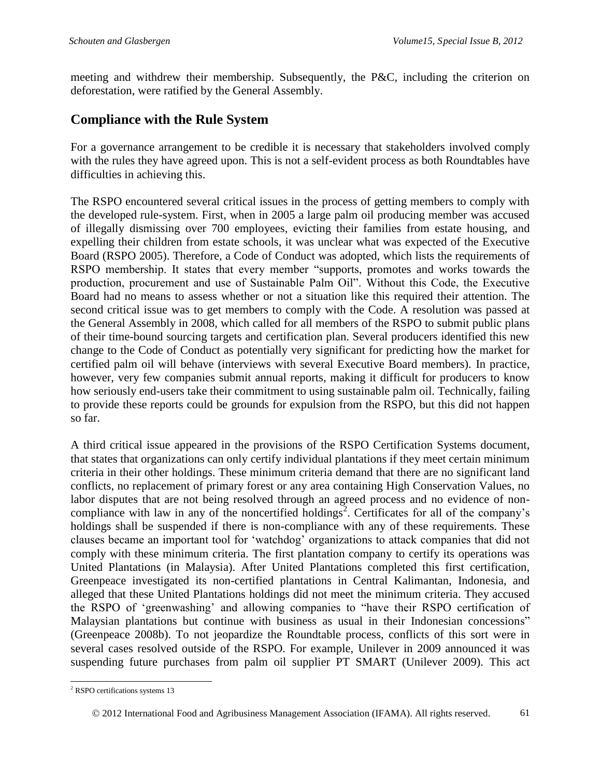meeting and withdrew their membership. Subsequently, the P&C, including the criterion on deforestation, were ratified by the General Assembly.

#### **Compliance with the Rule System**

For a governance arrangement to be credible it is necessary that stakeholders involved comply with the rules they have agreed upon. This is not a self-evident process as both Roundtables have difficulties in achieving this.

The RSPO encountered several critical issues in the process of getting members to comply with the developed rule-system. First, when in 2005 a large palm oil producing member was accused of illegally dismissing over 700 employees, evicting their families from estate housing, and expelling their children from estate schools, it was unclear what was expected of the Executive Board (RSPO 2005). Therefore, a Code of Conduct was adopted, which lists the requirements of RSPO membership. It states that every member "supports, promotes and works towards the production, procurement and use of Sustainable Palm Oil". Without this Code, the Executive Board had no means to assess whether or not a situation like this required their attention. The second critical issue was to get members to comply with the Code. A resolution was passed at the General Assembly in 2008, which called for all members of the RSPO to submit public plans of their time-bound sourcing targets and certification plan. Several producers identified this new change to the Code of Conduct as potentially very significant for predicting how the market for certified palm oil will behave (interviews with several Executive Board members). In practice, however, very few companies submit annual reports, making it difficult for producers to know how seriously end-users take their commitment to using sustainable palm oil. Technically, failing to provide these reports could be grounds for expulsion from the RSPO, but this did not happen so far.

A third critical issue appeared in the provisions of the RSPO Certification Systems document, that states that organizations can only certify individual plantations if they meet certain minimum criteria in their other holdings. These minimum criteria demand that there are no significant land conflicts, no replacement of primary forest or any area containing High Conservation Values, no labor disputes that are not being resolved through an agreed process and no evidence of noncompliance with law in any of the noncertified holdings<sup>2</sup>. Certificates for all of the company's holdings shall be suspended if there is non-compliance with any of these requirements. These clauses became an important tool for 'watchdog' organizations to attack companies that did not comply with these minimum criteria. The first plantation company to certify its operations was United Plantations (in Malaysia). After United Plantations completed this first certification, Greenpeace investigated its non-certified plantations in Central Kalimantan, Indonesia, and alleged that these United Plantations holdings did not meet the minimum criteria. They accused the RSPO of 'greenwashing' and allowing companies to "have their RSPO certification of Malaysian plantations but continue with business as usual in their Indonesian concessions" (Greenpeace 2008b). To not jeopardize the Roundtable process, conflicts of this sort were in several cases resolved outside of the RSPO. For example, Unilever in 2009 announced it was suspending future purchases from palm oil supplier PT SMART (Unilever 2009). This act

 $\overline{a}$ <sup>2</sup> RSPO certifications systems 13

2012 International Food and Agribusiness Management Association (IFAMA). All rights reserved. 61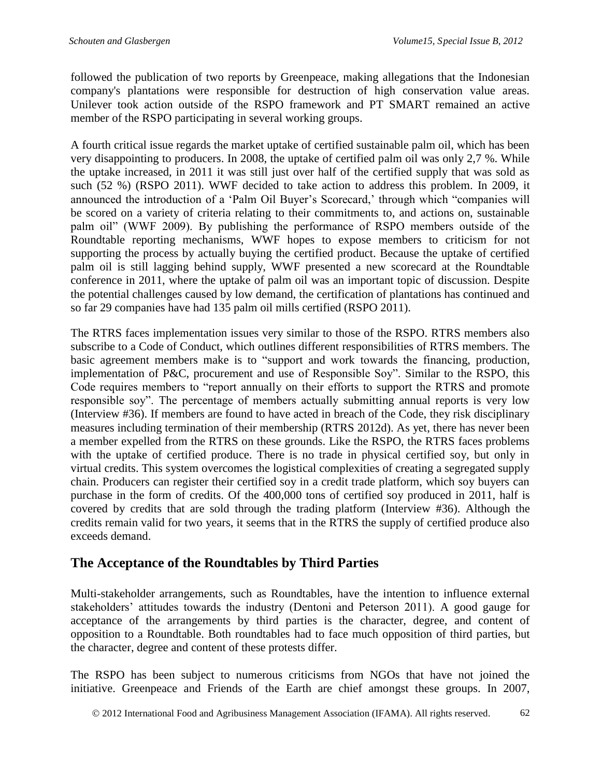followed the publication of two reports by Greenpeace, making allegations that the Indonesian company's plantations were responsible for destruction of high conservation value areas. Unilever took action outside of the RSPO framework and PT SMART remained an active member of the RSPO participating in several working groups.

A fourth critical issue regards the market uptake of certified sustainable palm oil, which has been very disappointing to producers. In 2008, the uptake of certified palm oil was only 2,7 %. While the uptake increased, in 2011 it was still just over half of the certified supply that was sold as such (52 %) (RSPO 2011). WWF decided to take action to address this problem. In 2009, it announced the introduction of a 'Palm Oil Buyer's Scorecard,' through which "companies will be scored on a variety of criteria relating to their commitments to, and actions on, sustainable palm oil" (WWF 2009). By publishing the performance of RSPO members outside of the Roundtable reporting mechanisms, WWF hopes to expose members to criticism for not supporting the process by actually buying the certified product. Because the uptake of certified palm oil is still lagging behind supply, WWF presented a new scorecard at the Roundtable conference in 2011, where the uptake of palm oil was an important topic of discussion. Despite the potential challenges caused by low demand, the certification of plantations has continued and so far 29 companies have had 135 palm oil mills certified (RSPO 2011).

The RTRS faces implementation issues very similar to those of the RSPO. RTRS members also subscribe to a Code of Conduct, which outlines different responsibilities of RTRS members. The basic agreement members make is to "support and work towards the financing, production, implementation of P&C, procurement and use of Responsible Soy". Similar to the RSPO, this Code requires members to "report annually on their efforts to support the RTRS and promote responsible soy". The percentage of members actually submitting annual reports is very low (Interview #36). If members are found to have acted in breach of the Code, they risk disciplinary measures including termination of their membership (RTRS 2012d). As yet, there has never been a member expelled from the RTRS on these grounds. Like the RSPO, the RTRS faces problems with the uptake of certified produce. There is no trade in physical certified soy, but only in virtual credits. This system overcomes the logistical complexities of creating a segregated supply chain. Producers can register their certified soy in a credit trade platform, which soy buyers can purchase in the form of credits. Of the 400,000 tons of certified soy produced in 2011, half is covered by credits that are sold through the trading platform (Interview #36). Although the credits remain valid for two years, it seems that in the RTRS the supply of certified produce also exceeds demand.

# **The Acceptance of the Roundtables by Third Parties**

Multi-stakeholder arrangements, such as Roundtables, have the intention to influence external stakeholders' attitudes towards the industry (Dentoni and Peterson 2011). A good gauge for acceptance of the arrangements by third parties is the character, degree, and content of opposition to a Roundtable. Both roundtables had to face much opposition of third parties, but the character, degree and content of these protests differ.

The RSPO has been subject to numerous criticisms from NGOs that have not joined the initiative. Greenpeace and Friends of the Earth are chief amongst these groups. In 2007,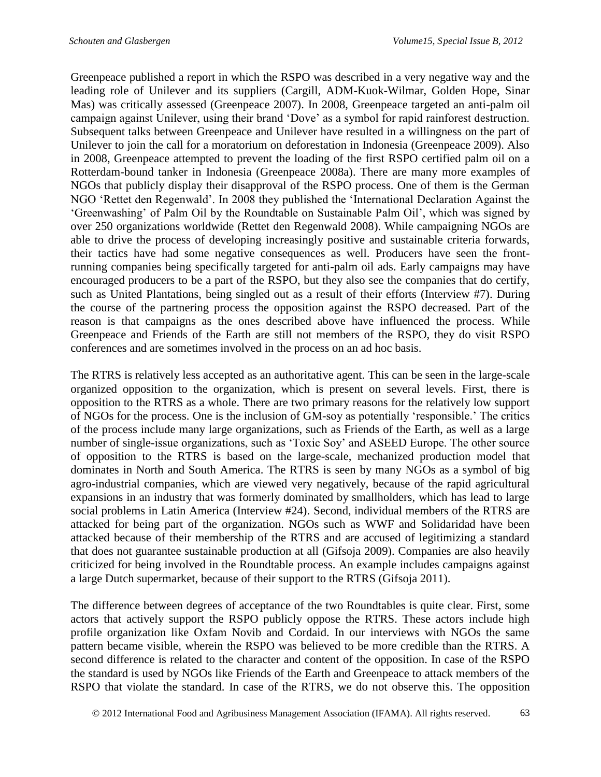Greenpeace published a report in which the RSPO was described in a very negative way and the leading role of Unilever and its suppliers (Cargill, ADM-Kuok-Wilmar, Golden Hope, Sinar Mas) was critically assessed (Greenpeace 2007). In 2008, Greenpeace targeted an anti-palm oil campaign against Unilever, using their brand 'Dove' as a symbol for rapid rainforest destruction. Subsequent talks between Greenpeace and Unilever have resulted in a willingness on the part of Unilever to join the call for a moratorium on deforestation in Indonesia (Greenpeace 2009). Also in 2008, Greenpeace attempted to prevent the loading of the first RSPO certified palm oil on a Rotterdam-bound tanker in Indonesia (Greenpeace 2008a). There are many more examples of NGOs that publicly display their disapproval of the RSPO process. One of them is the German NGO 'Rettet den Regenwald'. In 2008 they published the 'International Declaration Against the 'Greenwashing' of Palm Oil by the Roundtable on Sustainable Palm Oil', which was signed by over 250 organizations worldwide (Rettet den Regenwald 2008). While campaigning NGOs are able to drive the process of developing increasingly positive and sustainable criteria forwards, their tactics have had some negative consequences as well. Producers have seen the frontrunning companies being specifically targeted for anti-palm oil ads. Early campaigns may have encouraged producers to be a part of the RSPO, but they also see the companies that do certify, such as United Plantations, being singled out as a result of their efforts (Interview #7). During the course of the partnering process the opposition against the RSPO decreased. Part of the reason is that campaigns as the ones described above have influenced the process. While Greenpeace and Friends of the Earth are still not members of the RSPO, they do visit RSPO conferences and are sometimes involved in the process on an ad hoc basis.

The RTRS is relatively less accepted as an authoritative agent. This can be seen in the large-scale organized opposition to the organization, which is present on several levels. First, there is opposition to the RTRS as a whole. There are two primary reasons for the relatively low support of NGOs for the process. One is the inclusion of GM-soy as potentially 'responsible.' The critics of the process include many large organizations, such as Friends of the Earth, as well as a large number of single-issue organizations, such as 'Toxic Soy' and ASEED Europe. The other source of opposition to the RTRS is based on the large-scale, mechanized production model that dominates in North and South America. The RTRS is seen by many NGOs as a symbol of big agro-industrial companies, which are viewed very negatively, because of the rapid agricultural expansions in an industry that was formerly dominated by smallholders, which has lead to large social problems in Latin America (Interview #24). Second, individual members of the RTRS are attacked for being part of the organization. NGOs such as WWF and Solidaridad have been attacked because of their membership of the RTRS and are accused of legitimizing a standard that does not guarantee sustainable production at all (Gifsoja 2009). Companies are also heavily criticized for being involved in the Roundtable process. An example includes campaigns against a large Dutch supermarket, because of their support to the RTRS (Gifsoja 2011).

The difference between degrees of acceptance of the two Roundtables is quite clear. First, some actors that actively support the RSPO publicly oppose the RTRS. These actors include high profile organization like Oxfam Novib and Cordaid. In our interviews with NGOs the same pattern became visible, wherein the RSPO was believed to be more credible than the RTRS. A second difference is related to the character and content of the opposition. In case of the RSPO the standard is used by NGOs like Friends of the Earth and Greenpeace to attack members of the RSPO that violate the standard. In case of the RTRS, we do not observe this. The opposition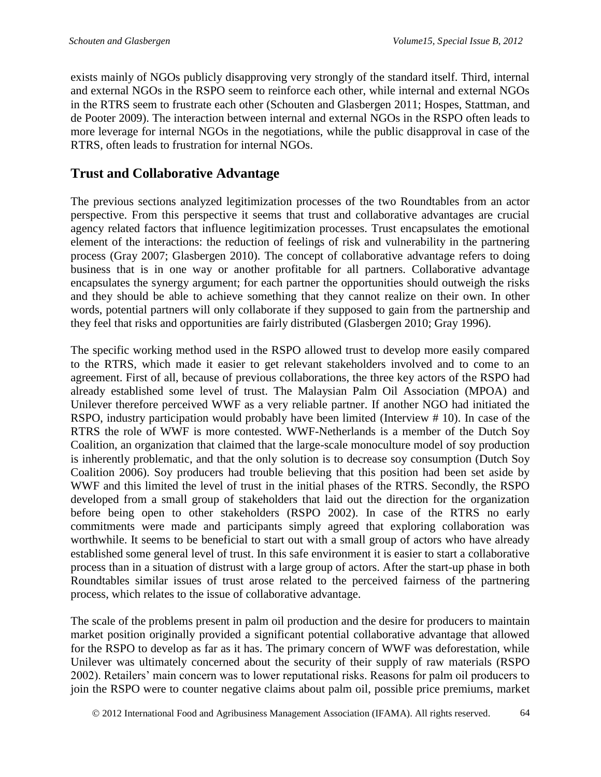exists mainly of NGOs publicly disapproving very strongly of the standard itself. Third, internal and external NGOs in the RSPO seem to reinforce each other, while internal and external NGOs in the RTRS seem to frustrate each other (Schouten and Glasbergen 2011; Hospes, Stattman, and de Pooter 2009). The interaction between internal and external NGOs in the RSPO often leads to more leverage for internal NGOs in the negotiations, while the public disapproval in case of the RTRS, often leads to frustration for internal NGOs.

## **Trust and Collaborative Advantage**

The previous sections analyzed legitimization processes of the two Roundtables from an actor perspective. From this perspective it seems that trust and collaborative advantages are crucial agency related factors that influence legitimization processes. Trust encapsulates the emotional element of the interactions: the reduction of feelings of risk and vulnerability in the partnering process (Gray 2007; Glasbergen 2010). The concept of collaborative advantage refers to doing business that is in one way or another profitable for all partners. Collaborative advantage encapsulates the synergy argument; for each partner the opportunities should outweigh the risks and they should be able to achieve something that they cannot realize on their own. In other words, potential partners will only collaborate if they supposed to gain from the partnership and they feel that risks and opportunities are fairly distributed (Glasbergen 2010; Gray 1996).

The specific working method used in the RSPO allowed trust to develop more easily compared to the RTRS, which made it easier to get relevant stakeholders involved and to come to an agreement. First of all, because of previous collaborations, the three key actors of the RSPO had already established some level of trust. The Malaysian Palm Oil Association (MPOA) and Unilever therefore perceived WWF as a very reliable partner. If another NGO had initiated the RSPO, industry participation would probably have been limited (Interview # 10). In case of the RTRS the role of WWF is more contested. WWF-Netherlands is a member of the Dutch Soy Coalition, an organization that claimed that the large-scale monoculture model of soy production is inherently problematic, and that the only solution is to decrease soy consumption (Dutch Soy Coalition 2006). Soy producers had trouble believing that this position had been set aside by WWF and this limited the level of trust in the initial phases of the RTRS. Secondly, the RSPO developed from a small group of stakeholders that laid out the direction for the organization before being open to other stakeholders (RSPO 2002). In case of the RTRS no early commitments were made and participants simply agreed that exploring collaboration was worthwhile. It seems to be beneficial to start out with a small group of actors who have already established some general level of trust. In this safe environment it is easier to start a collaborative process than in a situation of distrust with a large group of actors. After the start-up phase in both Roundtables similar issues of trust arose related to the perceived fairness of the partnering process, which relates to the issue of collaborative advantage.

The scale of the problems present in palm oil production and the desire for producers to maintain market position originally provided a significant potential collaborative advantage that allowed for the RSPO to develop as far as it has. The primary concern of WWF was deforestation, while Unilever was ultimately concerned about the security of their supply of raw materials (RSPO 2002). Retailers' main concern was to lower reputational risks. Reasons for palm oil producers to join the RSPO were to counter negative claims about palm oil, possible price premiums, market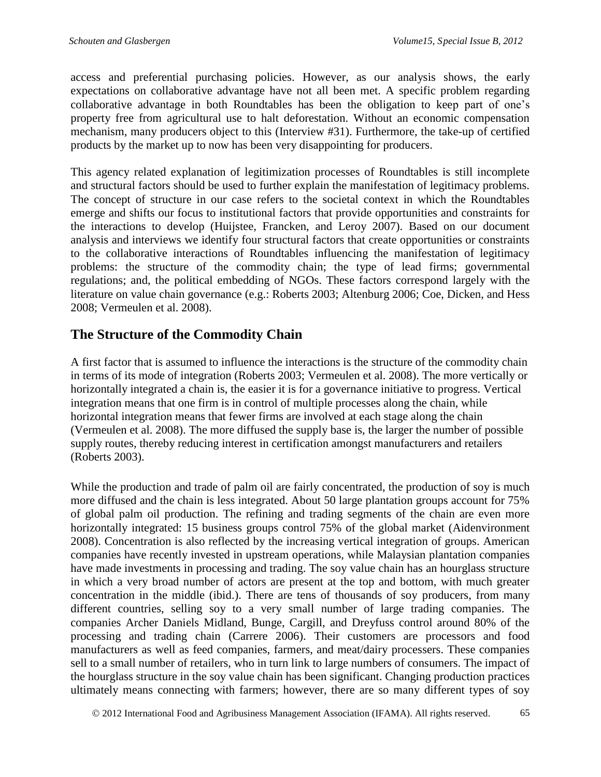access and preferential purchasing policies. However, as our analysis shows, the early expectations on collaborative advantage have not all been met. A specific problem regarding collaborative advantage in both Roundtables has been the obligation to keep part of one's property free from agricultural use to halt deforestation. Without an economic compensation mechanism, many producers object to this (Interview #31). Furthermore, the take-up of certified products by the market up to now has been very disappointing for producers.

This agency related explanation of legitimization processes of Roundtables is still incomplete and structural factors should be used to further explain the manifestation of legitimacy problems. The concept of structure in our case refers to the societal context in which the Roundtables emerge and shifts our focus to institutional factors that provide opportunities and constraints for the interactions to develop (Huijstee, Francken, and Leroy 2007). Based on our document analysis and interviews we identify four structural factors that create opportunities or constraints to the collaborative interactions of Roundtables influencing the manifestation of legitimacy problems: the structure of the commodity chain; the type of lead firms; governmental regulations; and, the political embedding of NGOs. These factors correspond largely with the literature on value chain governance (e.g.: Roberts 2003; Altenburg 2006; Coe, Dicken, and Hess 2008; Vermeulen et al. 2008).

## **The Structure of the Commodity Chain**

A first factor that is assumed to influence the interactions is the structure of the commodity chain in terms of its mode of integration (Roberts 2003; Vermeulen et al. 2008). The more vertically or horizontally integrated a chain is, the easier it is for a governance initiative to progress. Vertical integration means that one firm is in control of multiple processes along the chain, while horizontal integration means that fewer firms are involved at each stage along the chain (Vermeulen et al. 2008). The more diffused the supply base is, the larger the number of possible supply routes, thereby reducing interest in certification amongst manufacturers and retailers (Roberts 2003).

While the production and trade of palm oil are fairly concentrated, the production of soy is much more diffused and the chain is less integrated. About 50 large plantation groups account for 75% of global palm oil production. The refining and trading segments of the chain are even more horizontally integrated: 15 business groups control 75% of the global market (Aidenvironment 2008). Concentration is also reflected by the increasing vertical integration of groups. American companies have recently invested in upstream operations, while Malaysian plantation companies have made investments in processing and trading. The soy value chain has an hourglass structure in which a very broad number of actors are present at the top and bottom, with much greater concentration in the middle (ibid.). There are tens of thousands of soy producers, from many different countries, selling soy to a very small number of large trading companies. The companies Archer Daniels Midland, Bunge, Cargill, and Dreyfuss control around 80% of the processing and trading chain (Carrere 2006). Their customers are processors and food manufacturers as well as feed companies, farmers, and meat/dairy processers. These companies sell to a small number of retailers, who in turn link to large numbers of consumers. The impact of the hourglass structure in the soy value chain has been significant. Changing production practices ultimately means connecting with farmers; however, there are so many different types of soy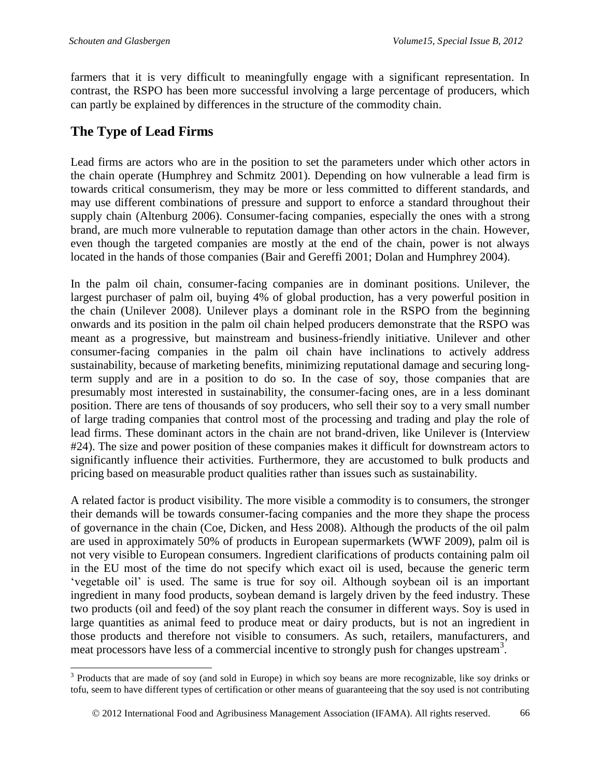farmers that it is very difficult to meaningfully engage with a significant representation. In contrast, the RSPO has been more successful involving a large percentage of producers, which can partly be explained by differences in the structure of the commodity chain.

# **The Type of Lead Firms**

Lead firms are actors who are in the position to set the parameters under which other actors in the chain operate (Humphrey and Schmitz 2001). Depending on how vulnerable a lead firm is towards critical consumerism, they may be more or less committed to different standards, and may use different combinations of pressure and support to enforce a standard throughout their supply chain (Altenburg 2006). Consumer-facing companies, especially the ones with a strong brand, are much more vulnerable to reputation damage than other actors in the chain. However, even though the targeted companies are mostly at the end of the chain, power is not always located in the hands of those companies (Bair and Gereffi 2001; Dolan and Humphrey 2004).

In the palm oil chain, consumer-facing companies are in dominant positions. Unilever, the largest purchaser of palm oil, buying 4% of global production, has a very powerful position in the chain (Unilever 2008). Unilever plays a dominant role in the RSPO from the beginning onwards and its position in the palm oil chain helped producers demonstrate that the RSPO was meant as a progressive, but mainstream and business-friendly initiative. Unilever and other consumer-facing companies in the palm oil chain have inclinations to actively address sustainability, because of marketing benefits, minimizing reputational damage and securing longterm supply and are in a position to do so. In the case of soy, those companies that are presumably most interested in sustainability, the consumer-facing ones, are in a less dominant position. There are tens of thousands of soy producers, who sell their soy to a very small number of large trading companies that control most of the processing and trading and play the role of lead firms. These dominant actors in the chain are not brand-driven, like Unilever is (Interview #24). The size and power position of these companies makes it difficult for downstream actors to significantly influence their activities. Furthermore, they are accustomed to bulk products and pricing based on measurable product qualities rather than issues such as sustainability.

A related factor is product visibility. The more visible a commodity is to consumers, the stronger their demands will be towards consumer-facing companies and the more they shape the process of governance in the chain (Coe, Dicken, and Hess 2008). Although the products of the oil palm are used in approximately 50% of products in European supermarkets (WWF 2009), palm oil is not very visible to European consumers. Ingredient clarifications of products containing palm oil in the EU most of the time do not specify which exact oil is used, because the generic term 'vegetable oil' is used. The same is true for soy oil. Although soybean oil is an important ingredient in many food products, soybean demand is largely driven by the feed industry. These two products (oil and feed) of the soy plant reach the consumer in different ways. Soy is used in large quantities as animal feed to produce meat or dairy products, but is not an ingredient in those products and therefore not visible to consumers. As such, retailers, manufacturers, and meat processors have less of a commercial incentive to strongly push for changes upstream<sup>3</sup>.

l <sup>3</sup> Products that are made of soy (and sold in Europe) in which soy beans are more recognizable, like soy drinks or tofu, seem to have different types of certification or other means of guaranteeing that the soy used is not contributing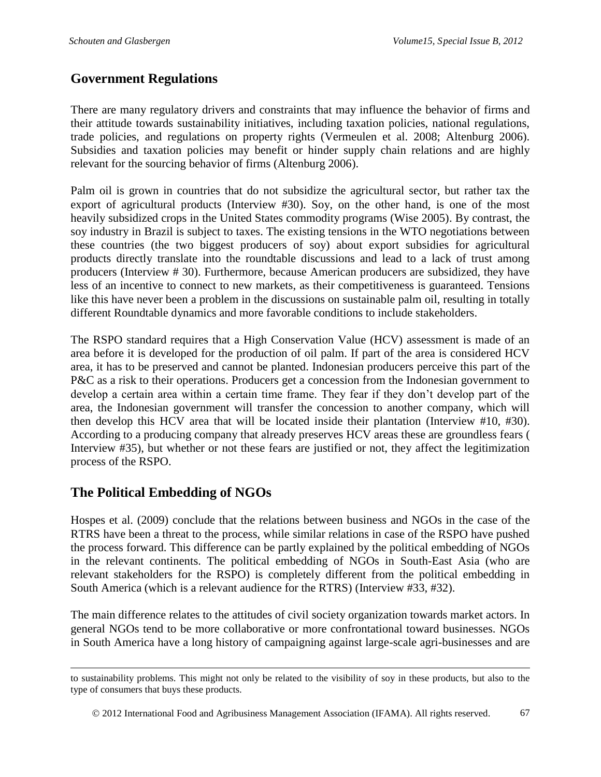### **Government Regulations**

There are many regulatory drivers and constraints that may influence the behavior of firms and their attitude towards sustainability initiatives, including taxation policies, national regulations, trade policies, and regulations on property rights (Vermeulen et al. 2008; Altenburg 2006). Subsidies and taxation policies may benefit or hinder supply chain relations and are highly relevant for the sourcing behavior of firms (Altenburg 2006).

Palm oil is grown in countries that do not subsidize the agricultural sector, but rather tax the export of agricultural products (Interview #30). Soy, on the other hand, is one of the most heavily subsidized crops in the United States commodity programs (Wise 2005). By contrast, the soy industry in Brazil is subject to taxes. The existing tensions in the WTO negotiations between these countries (the two biggest producers of soy) about export subsidies for agricultural products directly translate into the roundtable discussions and lead to a lack of trust among producers (Interview # 30). Furthermore, because American producers are subsidized, they have less of an incentive to connect to new markets, as their competitiveness is guaranteed. Tensions like this have never been a problem in the discussions on sustainable palm oil, resulting in totally different Roundtable dynamics and more favorable conditions to include stakeholders.

The RSPO standard requires that a High Conservation Value (HCV) assessment is made of an area before it is developed for the production of oil palm. If part of the area is considered HCV area, it has to be preserved and cannot be planted. Indonesian producers perceive this part of the P&C as a risk to their operations. Producers get a concession from the Indonesian government to develop a certain area within a certain time frame. They fear if they don't develop part of the area, the Indonesian government will transfer the concession to another company, which will then develop this HCV area that will be located inside their plantation (Interview #10, #30). According to a producing company that already preserves HCV areas these are groundless fears ( Interview #35), but whether or not these fears are justified or not, they affect the legitimization process of the RSPO.

#### **The Political Embedding of NGOs**

l

Hospes et al. (2009) conclude that the relations between business and NGOs in the case of the RTRS have been a threat to the process, while similar relations in case of the RSPO have pushed the process forward. This difference can be partly explained by the political embedding of NGOs in the relevant continents. The political embedding of NGOs in South-East Asia (who are relevant stakeholders for the RSPO) is completely different from the political embedding in South America (which is a relevant audience for the RTRS) (Interview #33, #32).

The main difference relates to the attitudes of civil society organization towards market actors. In general NGOs tend to be more collaborative or more confrontational toward businesses. NGOs in South America have a long history of campaigning against large-scale agri-businesses and are

to sustainability problems. This might not only be related to the visibility of soy in these products, but also to the type of consumers that buys these products.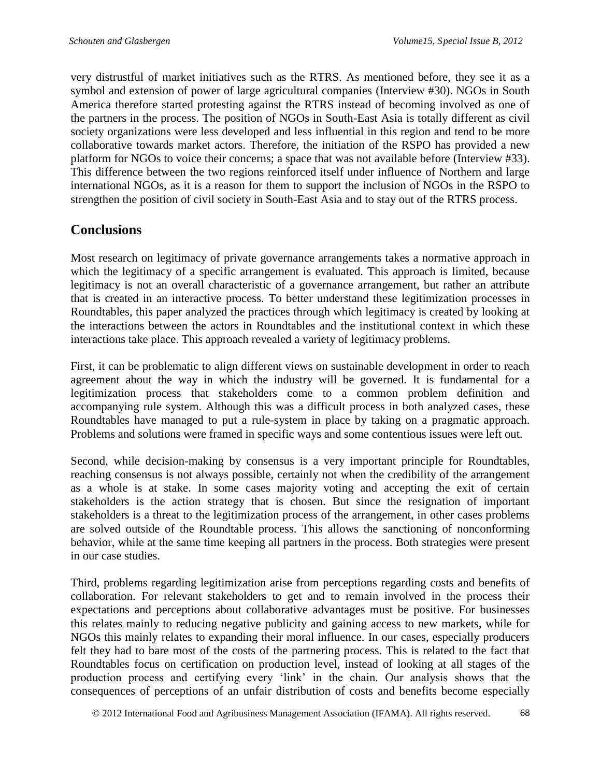very distrustful of market initiatives such as the RTRS. As mentioned before, they see it as a symbol and extension of power of large agricultural companies (Interview #30). NGOs in South America therefore started protesting against the RTRS instead of becoming involved as one of the partners in the process. The position of NGOs in South-East Asia is totally different as civil society organizations were less developed and less influential in this region and tend to be more collaborative towards market actors. Therefore, the initiation of the RSPO has provided a new platform for NGOs to voice their concerns; a space that was not available before (Interview #33). This difference between the two regions reinforced itself under influence of Northern and large international NGOs, as it is a reason for them to support the inclusion of NGOs in the RSPO to strengthen the position of civil society in South-East Asia and to stay out of the RTRS process.

# **Conclusions**

Most research on legitimacy of private governance arrangements takes a normative approach in which the legitimacy of a specific arrangement is evaluated. This approach is limited, because legitimacy is not an overall characteristic of a governance arrangement, but rather an attribute that is created in an interactive process. To better understand these legitimization processes in Roundtables, this paper analyzed the practices through which legitimacy is created by looking at the interactions between the actors in Roundtables and the institutional context in which these interactions take place. This approach revealed a variety of legitimacy problems.

First, it can be problematic to align different views on sustainable development in order to reach agreement about the way in which the industry will be governed. It is fundamental for a legitimization process that stakeholders come to a common problem definition and accompanying rule system. Although this was a difficult process in both analyzed cases, these Roundtables have managed to put a rule-system in place by taking on a pragmatic approach. Problems and solutions were framed in specific ways and some contentious issues were left out.

Second, while decision-making by consensus is a very important principle for Roundtables, reaching consensus is not always possible, certainly not when the credibility of the arrangement as a whole is at stake. In some cases majority voting and accepting the exit of certain stakeholders is the action strategy that is chosen. But since the resignation of important stakeholders is a threat to the legitimization process of the arrangement, in other cases problems are solved outside of the Roundtable process. This allows the sanctioning of nonconforming behavior, while at the same time keeping all partners in the process. Both strategies were present in our case studies.

Third, problems regarding legitimization arise from perceptions regarding costs and benefits of collaboration. For relevant stakeholders to get and to remain involved in the process their expectations and perceptions about collaborative advantages must be positive. For businesses this relates mainly to reducing negative publicity and gaining access to new markets, while for NGOs this mainly relates to expanding their moral influence. In our cases, especially producers felt they had to bare most of the costs of the partnering process. This is related to the fact that Roundtables focus on certification on production level, instead of looking at all stages of the production process and certifying every 'link' in the chain. Our analysis shows that the consequences of perceptions of an unfair distribution of costs and benefits become especially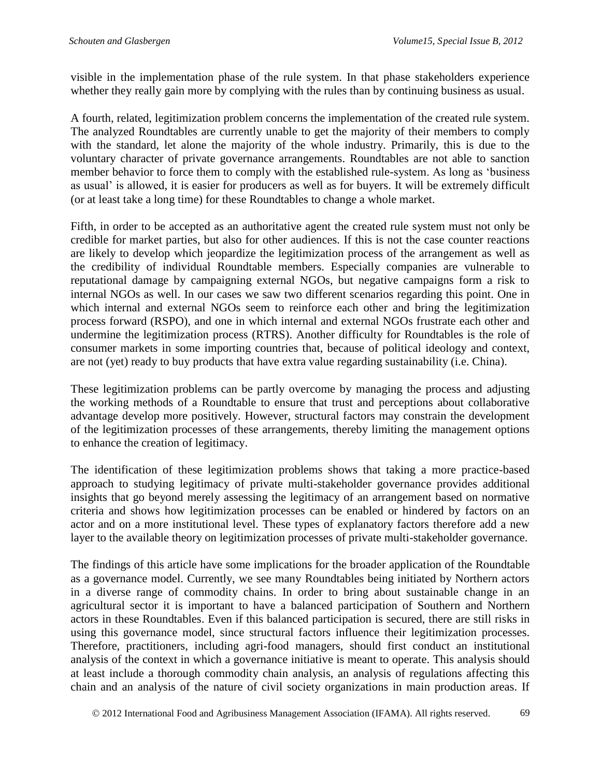visible in the implementation phase of the rule system. In that phase stakeholders experience whether they really gain more by complying with the rules than by continuing business as usual.

A fourth, related, legitimization problem concerns the implementation of the created rule system. The analyzed Roundtables are currently unable to get the majority of their members to comply with the standard, let alone the majority of the whole industry. Primarily, this is due to the voluntary character of private governance arrangements. Roundtables are not able to sanction member behavior to force them to comply with the established rule-system. As long as 'business as usual' is allowed, it is easier for producers as well as for buyers. It will be extremely difficult (or at least take a long time) for these Roundtables to change a whole market.

Fifth, in order to be accepted as an authoritative agent the created rule system must not only be credible for market parties, but also for other audiences. If this is not the case counter reactions are likely to develop which jeopardize the legitimization process of the arrangement as well as the credibility of individual Roundtable members. Especially companies are vulnerable to reputational damage by campaigning external NGOs, but negative campaigns form a risk to internal NGOs as well. In our cases we saw two different scenarios regarding this point. One in which internal and external NGOs seem to reinforce each other and bring the legitimization process forward (RSPO), and one in which internal and external NGOs frustrate each other and undermine the legitimization process (RTRS). Another difficulty for Roundtables is the role of consumer markets in some importing countries that, because of political ideology and context, are not (yet) ready to buy products that have extra value regarding sustainability (i.e. China).

These legitimization problems can be partly overcome by managing the process and adjusting the working methods of a Roundtable to ensure that trust and perceptions about collaborative advantage develop more positively. However, structural factors may constrain the development of the legitimization processes of these arrangements, thereby limiting the management options to enhance the creation of legitimacy.

The identification of these legitimization problems shows that taking a more practice-based approach to studying legitimacy of private multi-stakeholder governance provides additional insights that go beyond merely assessing the legitimacy of an arrangement based on normative criteria and shows how legitimization processes can be enabled or hindered by factors on an actor and on a more institutional level. These types of explanatory factors therefore add a new layer to the available theory on legitimization processes of private multi-stakeholder governance.

The findings of this article have some implications for the broader application of the Roundtable as a governance model. Currently, we see many Roundtables being initiated by Northern actors in a diverse range of commodity chains. In order to bring about sustainable change in an agricultural sector it is important to have a balanced participation of Southern and Northern actors in these Roundtables. Even if this balanced participation is secured, there are still risks in using this governance model, since structural factors influence their legitimization processes. Therefore, practitioners, including agri-food managers, should first conduct an institutional analysis of the context in which a governance initiative is meant to operate. This analysis should at least include a thorough commodity chain analysis, an analysis of regulations affecting this chain and an analysis of the nature of civil society organizations in main production areas. If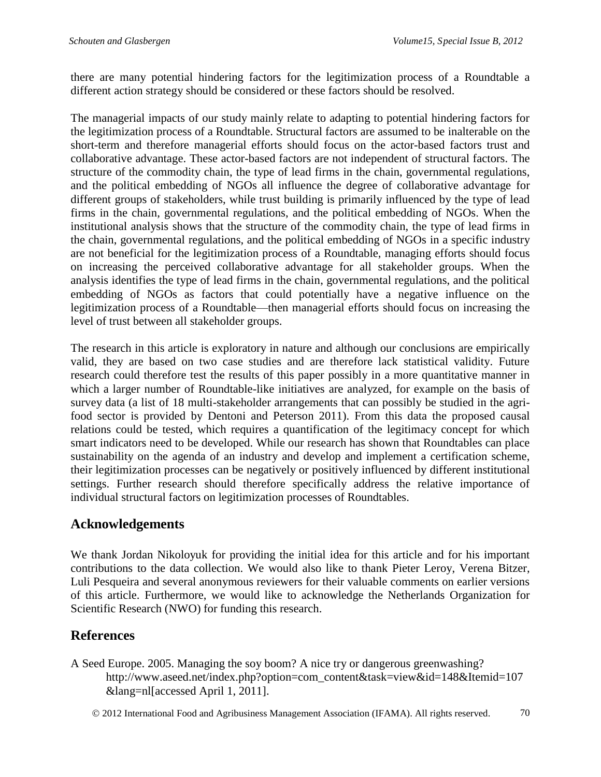there are many potential hindering factors for the legitimization process of a Roundtable a different action strategy should be considered or these factors should be resolved.

The managerial impacts of our study mainly relate to adapting to potential hindering factors for the legitimization process of a Roundtable. Structural factors are assumed to be inalterable on the short-term and therefore managerial efforts should focus on the actor-based factors trust and collaborative advantage. These actor-based factors are not independent of structural factors. The structure of the commodity chain, the type of lead firms in the chain, governmental regulations, and the political embedding of NGOs all influence the degree of collaborative advantage for different groups of stakeholders, while trust building is primarily influenced by the type of lead firms in the chain, governmental regulations, and the political embedding of NGOs. When the institutional analysis shows that the structure of the commodity chain, the type of lead firms in the chain, governmental regulations, and the political embedding of NGOs in a specific industry are not beneficial for the legitimization process of a Roundtable, managing efforts should focus on increasing the perceived collaborative advantage for all stakeholder groups. When the analysis identifies the type of lead firms in the chain, governmental regulations, and the political embedding of NGOs as factors that could potentially have a negative influence on the legitimization process of a Roundtable—then managerial efforts should focus on increasing the level of trust between all stakeholder groups.

The research in this article is exploratory in nature and although our conclusions are empirically valid, they are based on two case studies and are therefore lack statistical validity. Future research could therefore test the results of this paper possibly in a more quantitative manner in which a larger number of Roundtable-like initiatives are analyzed, for example on the basis of survey data (a list of 18 multi-stakeholder arrangements that can possibly be studied in the agrifood sector is provided by Dentoni and Peterson 2011). From this data the proposed causal relations could be tested, which requires a quantification of the legitimacy concept for which smart indicators need to be developed. While our research has shown that Roundtables can place sustainability on the agenda of an industry and develop and implement a certification scheme, their legitimization processes can be negatively or positively influenced by different institutional settings. Further research should therefore specifically address the relative importance of individual structural factors on legitimization processes of Roundtables.

#### **Acknowledgements**

We thank Jordan Nikoloyuk for providing the initial idea for this article and for his important contributions to the data collection. We would also like to thank Pieter Leroy, Verena Bitzer, Luli Pesqueira and several anonymous reviewers for their valuable comments on earlier versions of this article. Furthermore, we would like to acknowledge the Netherlands Organization for Scientific Research (NWO) for funding this research.

# **References**

A Seed Europe. 2005. Managing the soy boom? A nice try or dangerous greenwashing? http://www.aseed.net/index.php?option=com\_content&task=view&id=148&Itemid=107 &lang=nl[accessed April 1, 2011].

2012 International Food and Agribusiness Management Association (IFAMA). All rights reserved. 70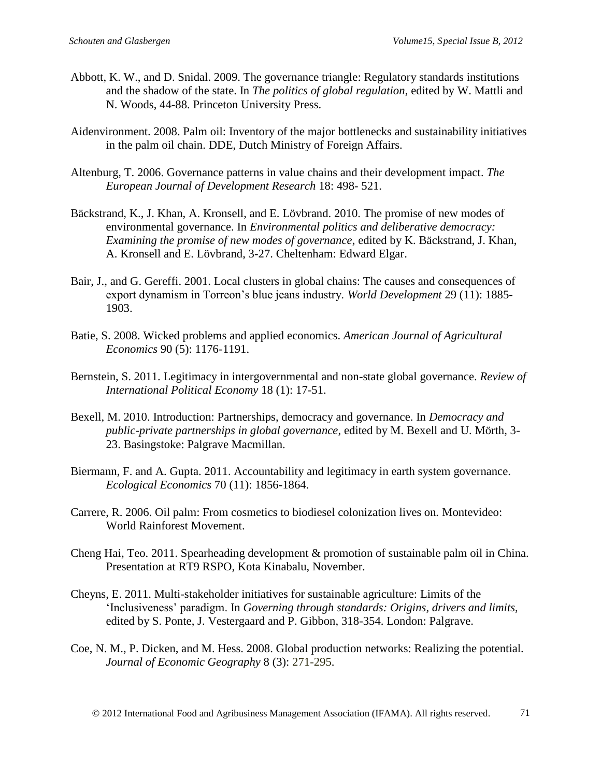- Abbott, K. W., and D. Snidal. 2009. The governance triangle: Regulatory standards institutions and the shadow of the state. In *The politics of global regulation*, edited by W. Mattli and N. Woods, 44-88. Princeton University Press.
- Aidenvironment. 2008. Palm oil: Inventory of the major bottlenecks and sustainability initiatives in the palm oil chain. DDE, Dutch Ministry of Foreign Affairs.
- Altenburg, T. 2006. Governance patterns in value chains and their development impact. *The European Journal of Development Research* 18: 498- 521.
- Bäckstrand, K., J. Khan, A. Kronsell, and E. Lövbrand. 2010. The promise of new modes of environmental governance. In *Environmental politics and deliberative democracy: Examining the promise of new modes of governance*, edited by K. Bäckstrand, J. Khan, A. Kronsell and E. Lövbrand, 3-27. Cheltenham: Edward Elgar.
- Bair, J., and G. Gereffi. 2001. Local clusters in global chains: The causes and consequences of export dynamism in Torreon's blue jeans industry. *World Development* 29 (11): 1885- 1903.
- Batie, S. 2008. Wicked problems and applied economics. *American Journal of Agricultural Economics* 90 (5): 1176-1191.
- Bernstein, S. 2011. Legitimacy in intergovernmental and non-state global governance. *Review of International Political Economy* 18 (1): 17-51.
- Bexell, M. 2010. Introduction: Partnerships, democracy and governance. In *Democracy and public-private partnerships in global governance*, edited by M. Bexell and U. Mörth, 3- 23. Basingstoke: Palgrave Macmillan.
- Biermann, F. and A. Gupta. 2011. Accountability and legitimacy in earth system governance. *Ecological Economics* 70 (11): 1856-1864.
- Carrere, R. 2006. Oil palm: From cosmetics to biodiesel colonization lives on*.* Montevideo: World Rainforest Movement.
- Cheng Hai, Teo. 2011. Spearheading development & promotion of sustainable palm oil in China. Presentation at RT9 RSPO, Kota Kinabalu, November.
- Cheyns, E. 2011. Multi-stakeholder initiatives for sustainable agriculture: Limits of the 'Inclusiveness' paradigm. In *Governing through standards: Origins, drivers and limits,* edited by S. Ponte, J. Vestergaard and P. Gibbon, 318-354. London: Palgrave.
- Coe, N. M., P. Dicken, and M. Hess. 2008. Global production networks: Realizing the potential. *Journal of Economic Geography* 8 (3): 271-295.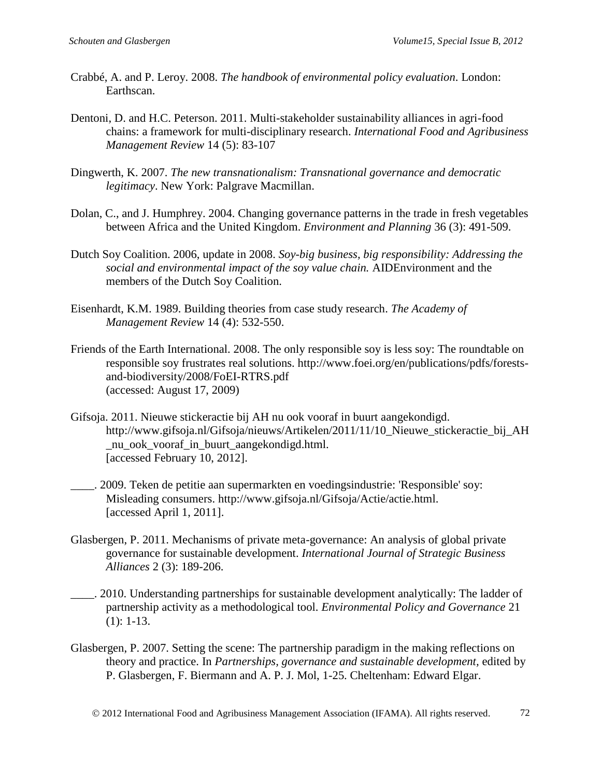- Crabbé, A. and P. Leroy. 2008. *The handbook of environmental policy evaluation*. London: Earthscan.
- Dentoni, D. and H.C. Peterson. 2011. Multi-stakeholder sustainability alliances in agri-food chains: a framework for multi-disciplinary research. *International Food and Agribusiness Management Review* 14 (5): 83-107
- Dingwerth, K. 2007. *The new transnationalism: Transnational governance and democratic legitimacy*. New York: Palgrave Macmillan.
- Dolan, C., and J. Humphrey. 2004. Changing governance patterns in the trade in fresh vegetables between Africa and the United Kingdom. *Environment and Planning* 36 (3): 491-509.
- Dutch Soy Coalition. 2006, update in 2008. *Soy-big business, big responsibility: Addressing the social and environmental impact of the soy value chain.* AIDEnvironment and the members of the Dutch Soy Coalition.
- Eisenhardt, K.M. 1989. Building theories from case study research. *The Academy of Management Review* 14 (4): 532-550.
- Friends of the Earth International. 2008. The only responsible soy is less soy: The roundtable on responsible soy frustrates real solutions. http://www.foei.org/en/publications/pdfs/forestsand-biodiversity/2008/FoEI-RTRS.pdf (accessed: August 17, 2009)
- Gifsoja. 2011. Nieuwe stickeractie bij AH nu ook vooraf in buurt aangekondigd. http://www.gifsoja.nl/Gifsoja/nieuws/Artikelen/2011/11/10\_Nieuwe\_stickeractie\_bij\_AH \_nu\_ook\_vooraf\_in\_buurt\_aangekondigd.html. [accessed February 10, 2012].
- \_\_\_\_. 2009. Teken de petitie aan supermarkten en voedingsindustrie: 'Responsible' soy: Misleading consumers. http://www.gifsoja.nl/Gifsoja/Actie/actie.html. [accessed April 1, 2011].
- Glasbergen, P. 2011. Mechanisms of private meta-governance: An analysis of global private governance for sustainable development. *International Journal of Strategic Business Alliances* 2 (3): 189-206.
- . 2010. Understanding partnerships for sustainable development analytically: The ladder of partnership activity as a methodological tool. *Environmental Policy and Governance* 21 (1): 1-13.
- Glasbergen, P. 2007. Setting the scene: The partnership paradigm in the making reflections on theory and practice. In *Partnerships, governance and sustainable development,* edited by P. Glasbergen, F. Biermann and A. P. J. Mol, 1-25. Cheltenham: Edward Elgar.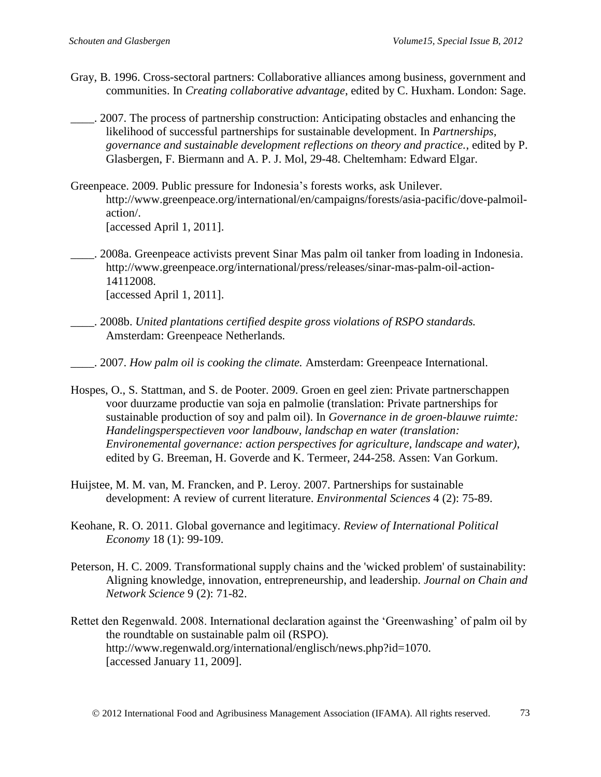- Gray, B. 1996. Cross-sectoral partners: Collaborative alliances among business, government and communities. In *Creating collaborative advantage*, edited by C. Huxham. London: Sage.
- \_\_\_\_. 2007. The process of partnership construction: Anticipating obstacles and enhancing the likelihood of successful partnerships for sustainable development. In *Partnerships, governance and sustainable development reflections on theory and practice.*, edited by P. Glasbergen, F. Biermann and A. P. J. Mol, 29-48. Cheltemham: Edward Elgar.
- Greenpeace. 2009. Public pressure for Indonesia's forests works, ask Unilever. http://www.greenpeace.org/international/en/campaigns/forests/asia-pacific/dove-palmoilaction/. [accessed April 1, 2011].
- \_\_\_\_. 2008a. Greenpeace activists prevent Sinar Mas palm oil tanker from loading in Indonesia. http://www.greenpeace.org/international/press/releases/sinar-mas-palm-oil-action-14112008. [accessed April 1, 2011].
- \_\_\_\_. 2008b. *United plantations certified despite gross violations of RSPO standards.*  Amsterdam: Greenpeace Netherlands*.*
- \_\_\_\_. 2007. *How palm oil is cooking the climate.* Amsterdam: Greenpeace International.
- Hospes, O., S. Stattman, and S. de Pooter. 2009. Groen en geel zien: Private partnerschappen voor duurzame productie van soja en palmolie (translation: Private partnerships for sustainable production of soy and palm oil). In *Governance in de groen-blauwe ruimte: Handelingsperspectieven voor landbouw, landschap en water (translation: Environemental governance: action perspectives for agriculture, landscape and water)*, edited by G. Breeman, H. Goverde and K. Termeer, 244-258. Assen: Van Gorkum.
- Huijstee, M. M. van, M. Francken, and P. Leroy. 2007. Partnerships for sustainable development: A review of current literature. *Environmental Sciences* 4 (2): 75-89.
- Keohane, R. O. 2011. Global governance and legitimacy. *Review of International Political Economy* 18 (1): 99-109.
- Peterson, H. C. 2009. Transformational supply chains and the 'wicked problem' of sustainability: Aligning knowledge, innovation, entrepreneurship, and leadership. *Journal on Chain and Network Science* 9 (2): 71-82.
- Rettet den Regenwald. 2008. International declaration against the 'Greenwashing' of palm oil by the roundtable on sustainable palm oil (RSPO). http://www.regenwald.org/international/englisch/news.php?id=1070. [accessed January 11, 2009].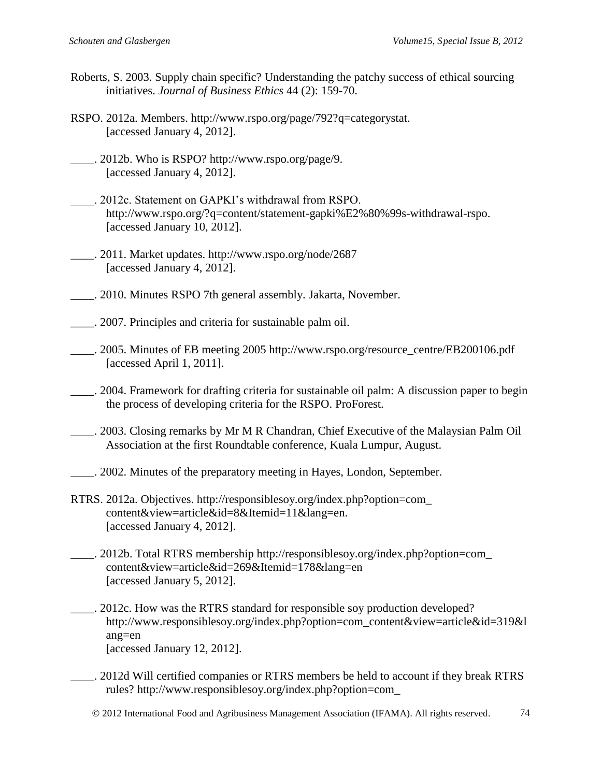- Roberts, S. 2003. Supply chain specific? Understanding the patchy success of ethical sourcing initiatives. *Journal of Business Ethics* 44 (2): 159-70.
- RSPO. 2012a. Members. http://www.rspo.org/page/792?q=categorystat. [accessed January 4, 2012].
- \_\_\_\_. 2012b. Who is RSPO? http://www.rspo.org/page/9. [accessed January 4, 2012].
- \_\_\_\_. 2012c. Statement on GAPKI's withdrawal from RSPO. http://www.rspo.org/?q=content/statement-gapki%E2%80%99s-withdrawal-rspo. [accessed January 10, 2012].
- \_\_\_\_. 2011. Market updates. http://www.rspo.org/node/2687 [accessed January 4, 2012].
- \_\_\_\_. 2010. Minutes RSPO 7th general assembly. Jakarta, November.
- \_\_\_\_. 2007. Principles and criteria for sustainable palm oil.
- \_\_\_\_. 2005. Minutes of EB meeting 2005 http://www.rspo.org/resource\_centre/EB200106.pdf [accessed April 1, 2011].
- \_\_\_\_. 2004. Framework for drafting criteria for sustainable oil palm: A discussion paper to begin the process of developing criteria for the RSPO. ProForest.
- \_\_\_\_. 2003. Closing remarks by Mr M R Chandran, Chief Executive of the Malaysian Palm Oil Association at the first Roundtable conference, Kuala Lumpur, August.
- \_\_\_\_. 2002. Minutes of the preparatory meeting in Hayes, London, September*.*
- RTRS. 2012a. Objectives. http://responsiblesoy.org/index.php?option=com\_ content&view=article&id=8&Itemid=11&lang=en. [accessed January 4, 2012].
- \_\_\_\_. 2012b. Total RTRS membership http://responsiblesoy.org/index.php?option=com\_ content&view=article&id=269&Itemid=178&lang=en [accessed January 5, 2012].
	- \_\_\_\_. 2012c. How was the RTRS standard for responsible soy production developed? http://www.responsiblesoy.org/index.php?option=com\_content&view=article&id=319&l ang=en [accessed January 12, 2012].
- \_\_\_\_. 2012d Will certified companies or RTRS members be held to account if they break RTRS rules? http://www.responsiblesoy.org/index.php?option=com\_
	- 2012 International Food and Agribusiness Management Association (IFAMA). All rights reserved. 74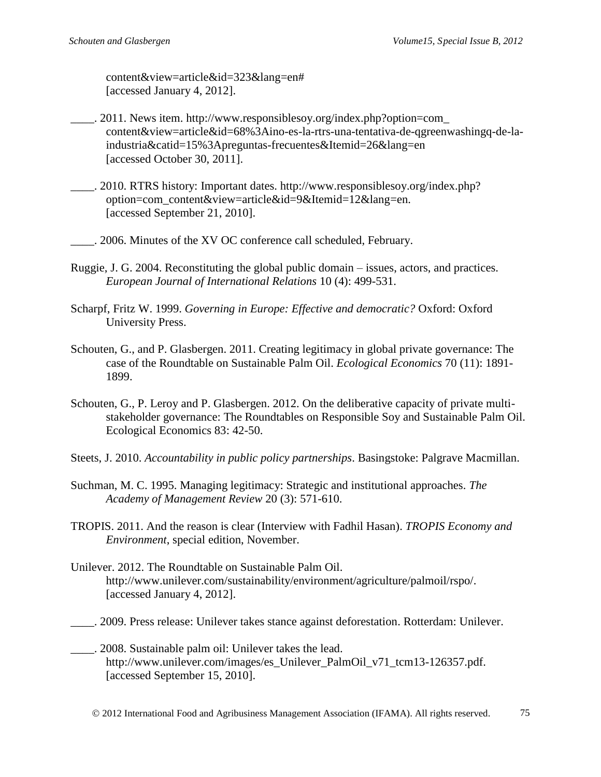content&view=article&id=323&lang=en# [accessed January 4, 2012].

- \_\_\_\_. 2011. News item. http://www.responsiblesoy.org/index.php?option=com\_ content&view=article&id=68%3Aino-es-la-rtrs-una-tentativa-de-qgreenwashingq-de-laindustria&catid=15%3Apreguntas-frecuentes&Itemid=26&lang=en [accessed October 30, 2011].
- \_\_\_\_. 2010. RTRS history: Important dates. http://www.responsiblesoy.org/index.php? option=com\_content&view=article&id=9&Itemid=12&lang=en. [accessed September 21, 2010].

\_\_\_\_. 2006. Minutes of the XV OC conference call scheduled, February.

- Ruggie, J. G. 2004. Reconstituting the global public domain issues, actors, and practices. *European Journal of International Relations* 10 (4): 499-531.
- Scharpf, Fritz W. 1999. *Governing in Europe: Effective and democratic?* Oxford: Oxford University Press.
- Schouten, G., and P. Glasbergen. 2011. Creating legitimacy in global private governance: The case of the Roundtable on Sustainable Palm Oil. *Ecological Economics* 70 (11): 1891- 1899.
- Schouten, G., P. Leroy and P. Glasbergen. 2012. On the deliberative capacity of private multistakeholder governance: The Roundtables on Responsible Soy and Sustainable Palm Oil. Ecological Economics 83: 42-50.
- Steets, J. 2010. *Accountability in public policy partnerships*. Basingstoke: Palgrave Macmillan.
- Suchman, M. C. 1995. Managing legitimacy: Strategic and institutional approaches. *The Academy of Management Review* 20 (3): 571-610.
- TROPIS. 2011. And the reason is clear (Interview with Fadhil Hasan). *TROPIS Economy and Environment*, special edition, November.
- Unilever. 2012. The Roundtable on Sustainable Palm Oil. http://www.unilever.com/sustainability/environment/agriculture/palmoil/rspo/. [accessed January 4, 2012].
- \_\_\_\_. 2009. Press release: Unilever takes stance against deforestation. Rotterdam: Unilever.
- \_\_\_\_. 2008. Sustainable palm oil: Unilever takes the lead. http://www.unilever.com/images/es\_Unilever\_PalmOil\_v71\_tcm13-126357.pdf. [accessed September 15, 2010].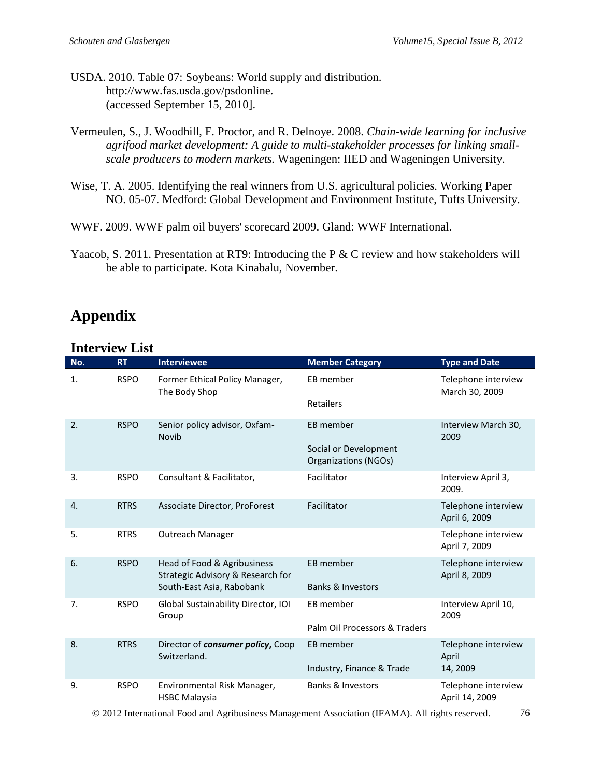- USDA. 2010. Table 07: Soybeans: World supply and distribution. http://www.fas.usda.gov/psdonline. (accessed September 15, 2010].
- Vermeulen, S., J. Woodhill, F. Proctor, and R. Delnoye. 2008. *Chain-wide learning for inclusive agrifood market development: A guide to multi-stakeholder processes for linking smallscale producers to modern markets.* Wageningen: IIED and Wageningen University.
- Wise, T. A. 2005. Identifying the real winners from U.S. agricultural policies*.* Working Paper NO. 05-07. Medford: Global Development and Environment Institute, Tufts University.
- WWF. 2009. WWF palm oil buyers' scorecard 2009. Gland: WWF International.
- Yaacob, S. 2011. Presentation at RT9: Introducing the P & C review and how stakeholders will be able to participate. Kota Kinabalu, November.

# **Appendix**

#### **Interview List**

| No. | <b>RT</b>   | <b>Interviewee</b>                                               | <b>Member Category</b>                               | <b>Type and Date</b>                  |
|-----|-------------|------------------------------------------------------------------|------------------------------------------------------|---------------------------------------|
| 1.  | <b>RSPO</b> | Former Ethical Policy Manager,<br>The Body Shop                  | EB member                                            | Telephone interview<br>March 30, 2009 |
|     |             |                                                                  | Retailers                                            |                                       |
| 2.  | <b>RSPO</b> | Senior policy advisor, Oxfam-<br>Novib                           | EB member                                            | Interview March 30,<br>2009           |
|     |             |                                                                  | Social or Development<br><b>Organizations (NGOs)</b> |                                       |
| 3.  | <b>RSPO</b> | Consultant & Facilitator,                                        | Facilitator                                          | Interview April 3,<br>2009.           |
| 4.  | <b>RTRS</b> | Associate Director, ProForest                                    | Facilitator                                          | Telephone interview<br>April 6, 2009  |
| 5.  | <b>RTRS</b> | Outreach Manager                                                 |                                                      | Telephone interview<br>April 7, 2009  |
| 6.  | <b>RSPO</b> | Head of Food & Agribusiness<br>Strategic Advisory & Research for | EB member                                            | Telephone interview<br>April 8, 2009  |
|     |             | South-East Asia, Rabobank                                        | <b>Banks &amp; Investors</b>                         |                                       |
| 7.  | <b>RSPO</b> | Global Sustainability Director, IOI<br>Group                     | EB member                                            | Interview April 10,<br>2009           |
|     |             |                                                                  | Palm Oil Processors & Traders                        |                                       |
| 8.  | <b>RTRS</b> | Director of consumer policy, Coop<br>Switzerland.                | EB member                                            | Telephone interview<br>April          |
|     |             |                                                                  | Industry, Finance & Trade                            | 14, 2009                              |
| 9.  | <b>RSPO</b> | Environmental Risk Manager,<br><b>HSBC Malaysia</b>              | <b>Banks &amp; Investors</b>                         | Telephone interview<br>April 14, 2009 |

© 2012 International Food and Agribusiness Management Association (IFAMA). All rights reserved. 76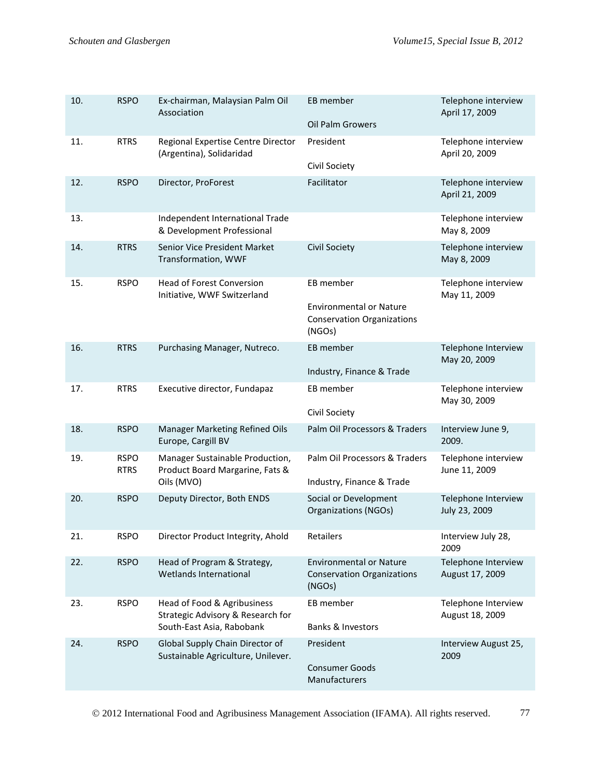| 10. | <b>RSPO</b>                | Ex-chairman, Malaysian Palm Oil<br>Association                                                | EB member<br>Oil Palm Growers                                                              | Telephone interview<br>April 17, 2009  |
|-----|----------------------------|-----------------------------------------------------------------------------------------------|--------------------------------------------------------------------------------------------|----------------------------------------|
| 11. | <b>RTRS</b>                | Regional Expertise Centre Director<br>(Argentina), Solidaridad                                | President<br>Civil Society                                                                 | Telephone interview<br>April 20, 2009  |
| 12. | <b>RSPO</b>                | Director, ProForest                                                                           | Facilitator                                                                                | Telephone interview<br>April 21, 2009  |
| 13. |                            | Independent International Trade<br>& Development Professional                                 |                                                                                            | Telephone interview<br>May 8, 2009     |
| 14. | <b>RTRS</b>                | Senior Vice President Market<br>Transformation, WWF                                           | Civil Society                                                                              | Telephone interview<br>May 8, 2009     |
| 15. | <b>RSPO</b>                | Head of Forest Conversion<br>Initiative, WWF Switzerland                                      | EB member<br><b>Environmental or Nature</b><br><b>Conservation Organizations</b><br>(NGOs) | Telephone interview<br>May 11, 2009    |
| 16. | <b>RTRS</b>                | Purchasing Manager, Nutreco.                                                                  | EB member<br>Industry, Finance & Trade                                                     | Telephone Interview<br>May 20, 2009    |
| 17. | <b>RTRS</b>                | Executive director, Fundapaz                                                                  | EB member<br>Civil Society                                                                 | Telephone interview<br>May 30, 2009    |
| 18. | <b>RSPO</b>                | Manager Marketing Refined Oils<br>Europe, Cargill BV                                          | Palm Oil Processors & Traders                                                              | Interview June 9,<br>2009.             |
| 19. | <b>RSPO</b><br><b>RTRS</b> | Manager Sustainable Production,<br>Product Board Margarine, Fats &<br>Oils (MVO)              | Palm Oil Processors & Traders<br>Industry, Finance & Trade                                 | Telephone interview<br>June 11, 2009   |
| 20. | <b>RSPO</b>                | Deputy Director, Both ENDS                                                                    | Social or Development<br><b>Organizations (NGOs)</b>                                       | Telephone Interview<br>July 23, 2009   |
| 21. | <b>RSPO</b>                | Director Product Integrity, Ahold                                                             | Retailers                                                                                  | Interview July 28,<br>2009             |
| 22. | <b>RSPO</b>                | Head of Program & Strategy,<br>Wetlands International                                         | <b>Environmental or Nature</b><br><b>Conservation Organizations</b><br>(NGOs)              | Telephone Interview<br>August 17, 2009 |
| 23. | <b>RSPO</b>                | Head of Food & Agribusiness<br>Strategic Advisory & Research for<br>South-East Asia, Rabobank | EB member<br><b>Banks &amp; Investors</b>                                                  | Telephone Interview<br>August 18, 2009 |
| 24. | <b>RSPO</b>                | Global Supply Chain Director of<br>Sustainable Agriculture, Unilever.                         | President<br><b>Consumer Goods</b><br>Manufacturers                                        | Interview August 25,<br>2009           |